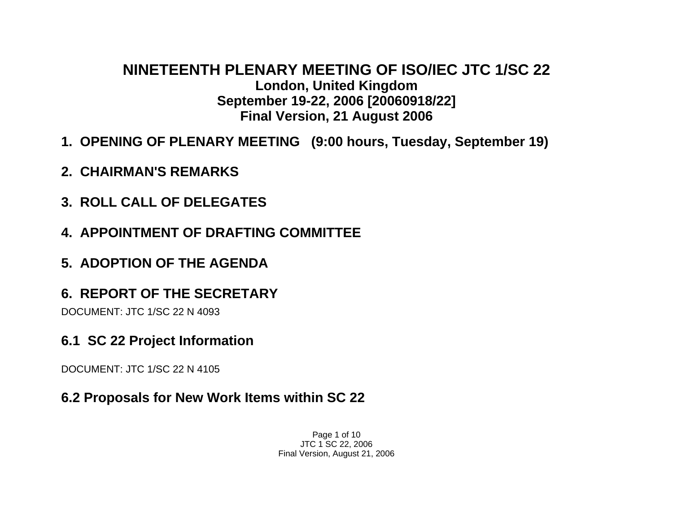### **NINETEENTH PLENARY MEETING OF ISO/IEC JTC 1/SC 22 London, United Kingdom September 19-22, 2006 [20060918/22] Final Version, 21 August 2006**

- **1. OPENING OF PLENARY MEETING (9:00 hours, Tuesday, September 19)**
- **2. CHAIRMAN'S REMARKS**
- **3. ROLL CALL OF DELEGATES**
- **4. APPOINTMENT OF DRAFTING COMMITTEE**
- **5. ADOPTION OF THE AGENDA**
- **6. REPORT OF THE SECRETARY**

DOCUMENT: JTC 1/SC 22 N 4093

**6.1 SC 22 Project Information** 

DOCUMENT: JTC 1/SC 22 N 4105

### **6.2 Proposals for New Work Items within SC 22**

Page 1 of 10 JTC 1 SC 22, 2006 Final Version, August 21, 2006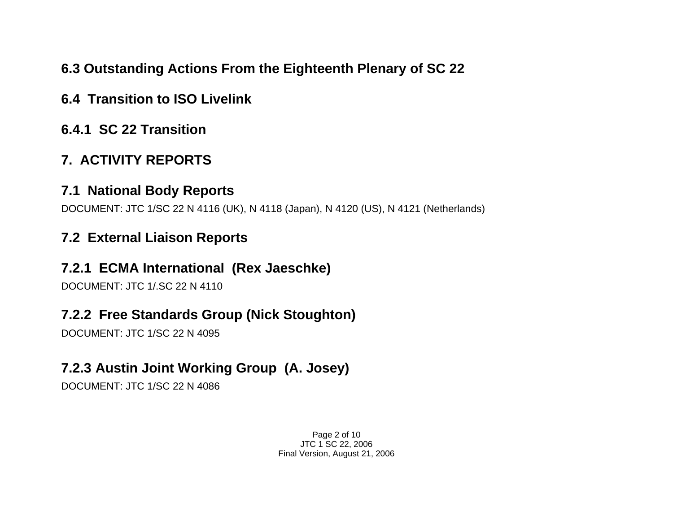# **6.3 Outstanding Actions From the Eighteenth Plenary of SC 22**

- **6.4 Transition to ISO Livelink**
- **6.4.1 SC 22 Transition**

# **7. ACTIVITY REPORTS**

### **7.1 National Body Reports**

DOCUMENT: JTC 1/SC 22 N 4116 (UK), N 4118 (Japan), N 4120 (US), N 4121 (Netherlands)

# **7.2 External Liaison Reports**

## **7.2.1 ECMA International (Rex Jaeschke)**

DOCUMENT: JTC 1/.SC 22 N 4110

# **7.2.2 Free Standards Group (Nick Stoughton)**

DOCUMENT: JTC 1/SC 22 N 4095

# **7.2.3Austin Joint Working Group (A. Josey)**

DOCUMENT: JTC 1/SC 22 N 4086

Page 2 of 10 JTC 1 SC 22, 2006 Final Version, August 21, 2006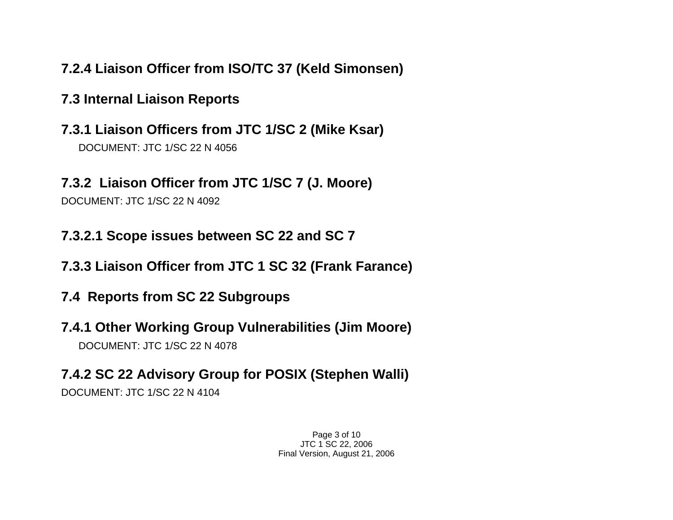# **7.2.4 Liaison Officer from ISO/TC 37 (Keld Simonsen)**

## **7.3 Internal Liaison Reports**

**7.3.1 Liaison Officers from JTC 1/SC 2 (Mike Ksar)**  DOCUMENT: JTC 1/SC 22 N 4056

### **7.3.2 Liaison Officer from JTC 1/SC 7 (J. Moore)**

DOCUMENT: JTC 1/SC 22 N 4092

**7.3.2.1 Scope issues between SC 22 and SC 7** 

- **7.3.3 Liaison Officer from JTC 1 SC 32 (Frank Farance)**
- **7.4 Reports from SC 22 Subgroups**
- **7.4.1 Other Working Group Vulnerabilities (Jim Moore)**  DOCUMENT: JTC 1/SC 22 N 4078
- **7.4.2 SC 22 Advisory Group for POSIX (Stephen Walli)**  DOCUMENT: JTC 1/SC 22 N 4104

Page 3 of 10 JTC 1 SC 22, 2006 Final Version, August 21, 2006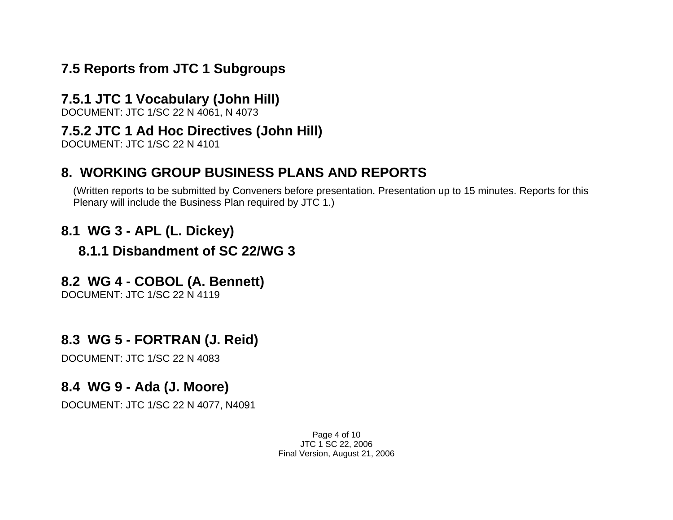### **7.5 Reports from JTC 1 Subgroups**

### **7.5.1 JTC 1 Vocabulary (John Hill)**

DOCUMENT: JTC 1/SC 22 N 4061, N 4073

#### **7.5.2 JTC 1 Ad Hoc Directives (John Hill)**

DOCUMENT: JTC 1/SC 22 N 4101

## **8. WORKING GROUP BUSINESS PLANS AND REPORTS**

(Written reports to be submitted by Conveners before presentation. Presentation up to 15 minutes. Reports for this Plenary will include the Business Plan required by JTC 1.)

### **8.1 WG 3 - APL (L. Dickey)**

### **8.1.1 Disbandment of SC 22/WG 3**

### **8.2 WG 4 - COBOL (A. Bennett)**

DOCUMENT: JTC 1/SC 22 N 4119

### **8.3 WG 5 - FORTRAN (J. Reid)**

DOCUMENT: JTC 1/SC 22 N 4083

### **8.4 WG 9 - Ada (J. Moore)**

DOCUMENT: JTC 1/SC 22 N 4077, N4091

Page 4 of 10 JTC 1 SC 22, 2006 Final Version, August 21, 2006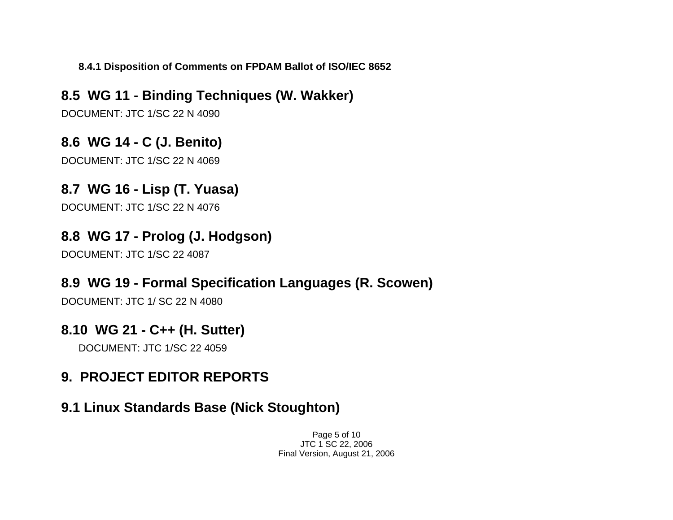**8.4.1 Disposition of Comments on FPDAM Ballot of ISO/IEC 8652** 

**8.5 WG 11 - Binding Techniques (W. Wakker)**  DOCUMENT: JTC 1/SC 22 N 4090

**8.6 WG 14 - C (J. Benito)**  DOCUMENT: JTC 1/SC 22 N 4069

**8.7 WG 16 - Lisp (T. Yuasa)** 

DOCUMENT: JTC 1/SC 22 N 4076

## **8.8 WG 17 - Prolog (J. Hodgson)**

DOCUMENT: JTC 1/SC 22 4087

### **8.9 WG 19 - Formal Specification Languages (R. Scowen)**

DOCUMENT: JTC 1/ SC 22 N 4080

### **8.10 WG 21 - C++ (H. Sutter)**

DOCUMENT: JTC 1/SC 22 4059

# **9. PROJECT EDITOR REPORTS**

### **9.1 Linux Standards Base (Nick Stoughton)**

Page 5 of 10 JTC 1 SC 22, 2006 Final Version, August 21, 2006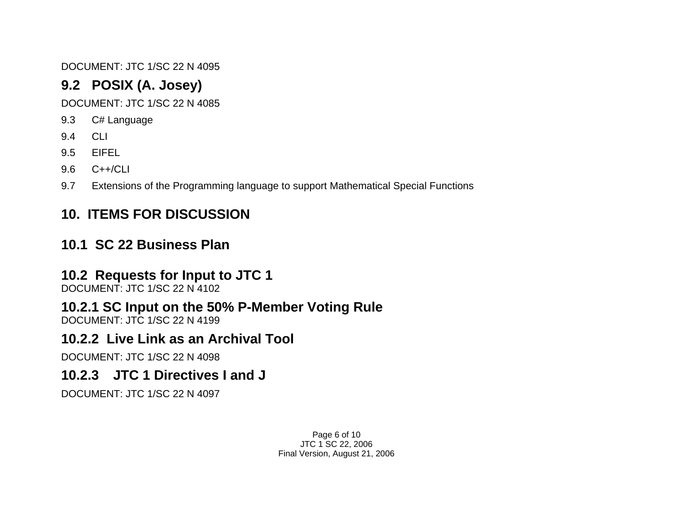DOCUMENT: JTC 1/SC 22 N 4095

# **9.2 POSIX (A. Josey)**

DOCUMENT: JTC 1/SC 22 N 4085

- 9.3 C# Language
- 9.4 CLI
- 9.5 EIFEL
- 9.6 C++/CLI
- 9.7 Extensions of the Programming language to support Mathematical Special Functions

# **10. ITEMS FOR DISCUSSION**

# **10.1 SC 22 Business Plan**

### **10.2 Requests for Input to JTC 1**

DOCUMENT: JTC 1/SC 22 N 4102

# **10.2.1 SC Input on the 50% P-Member Voting Rule**

DOCUMENT: JTC 1/SC 22 N 4199

### **10.2.2 Live Link as an Archival Tool**

DOCUMENT: JTC 1/SC 22 N 4098

### **10.2.3 JTC 1 Directives I and J**

DOCUMENT: JTC 1/SC 22 N 4097

Page 6 of 10 JTC 1 SC 22, 2006 Final Version, August 21, 2006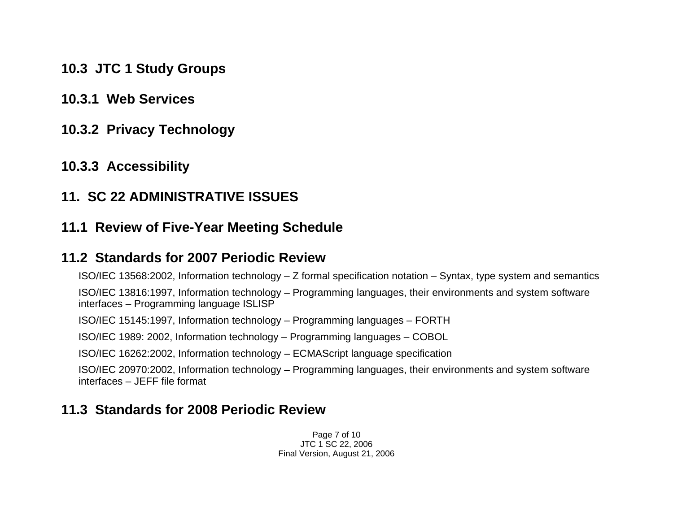- **10.3 JTC 1 Study Groups**
- **10.3.1 Web Services**
- **10.3.2 Privacy Technology**
- **10.3.3 Accessibility**

#### **11. SC 22 ADMINISTRATIVE ISSUES**

### **11.1 Review of Five-Year Meeting Schedule**

#### **11.2 Standards for 2007 Periodic Review**

ISO/IEC 13568:2002, Information technology – Z formal specification notation – Syntax, type system and semantics

ISO/IEC 13816:1997, Information technology – Programming languages, their environments and system software interfaces – Programming language ISLISP

ISO/IEC 15145:1997, Information technology – Programming languages – FORTH

ISO/IEC 1989: 2002, Information technology – Programming languages – COBOL

ISO/IEC 16262:2002, Information technology – ECMAScript language specification

ISO/IEC 20970:2002, Information technology – Programming languages, their environments and system software interfaces – JEFF file format

### **11.3 Standards for 2008 Periodic Review**

Page 7 of 10 JTC 1 SC 22, 2006 Final Version, August 21, 2006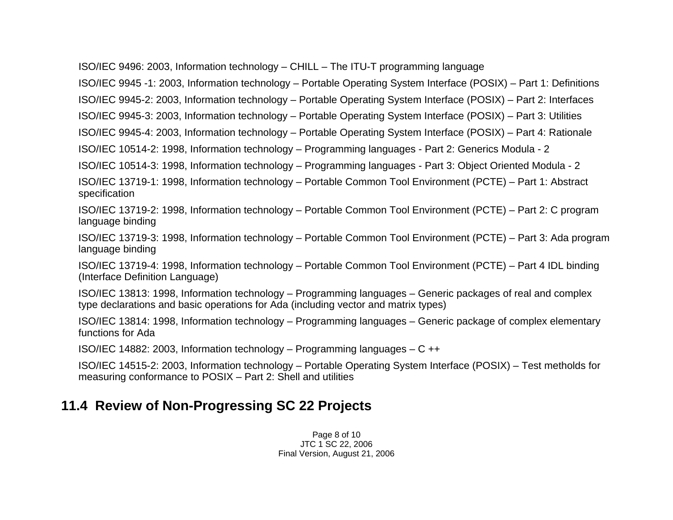ISO/IEC 9496: 2003, Information technology – CHILL – The ITU-T programming language

ISO/IEC 9945 -1: 2003, Information technology – Portable Operating System Interface (POSIX) – Part 1: Definitions

ISO/IEC 9945-2: 2003, Information technology – Portable Operating System Interface (POSIX) – Part 2: Interfaces

ISO/IEC 9945-3: 2003, Information technology – Portable Operating System Interface (POSIX) – Part 3: Utilities

ISO/IEC 9945-4: 2003, Information technology – Portable Operating System Interface (POSIX) – Part 4: Rationale

ISO/IEC 10514-2: 1998, Information technology – Programming languages - Part 2: Generics Modula - 2

ISO/IEC 10514-3: 1998, Information technology – Programming languages - Part 3: Object Oriented Modula - 2

ISO/IEC 13719-1: 1998, Information technology – Portable Common Tool Environment (PCTE) – Part 1: Abstract specification

ISO/IEC 13719-2: 1998, Information technology – Portable Common Tool Environment (PCTE) – Part 2: C program language binding

ISO/IEC 13719-3: 1998, Information technology – Portable Common Tool Environment (PCTE) – Part 3: Ada program language binding

ISO/IEC 13719-4: 1998, Information technology – Portable Common Tool Environment (PCTE) – Part 4 IDL binding (Interface Definition Language)

ISO/IEC 13813: 1998, Information technology – Programming languages – Generic packages of real and complex type declarations and basic operations for Ada (including vector and matrix types)

ISO/IEC 13814: 1998, Information technology – Programming languages – Generic package of complex elementary functions for Ada

ISO/IEC 14882: 2003, Information technology – Programming languages – C ++

ISO/IEC 14515-2: 2003, Information technology – Portable Operating System Interface (POSIX) – Test metholds for measuring conformance to POSIX – Part 2: Shell and utilities

### **11.4 Review of Non-Progressing SC 22 Projects**

Page 8 of 10 JTC 1 SC 22, 2006 Final Version, August 21, 2006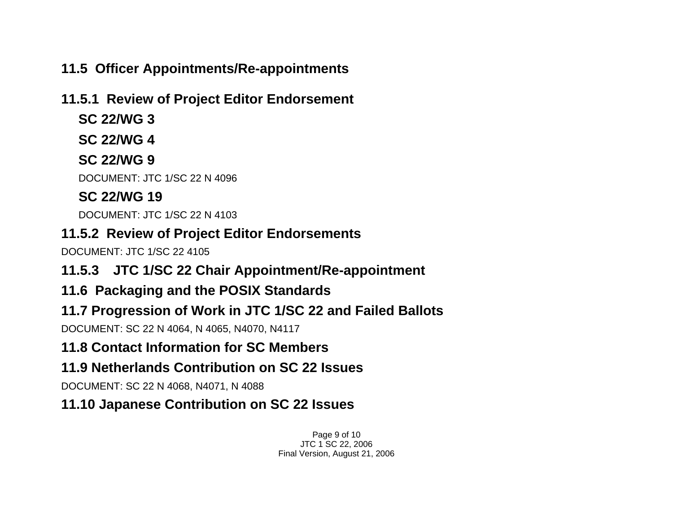# **11.5 Officer Appointments/Re-appointments**

### **11.5.1 Review of Project Editor Endorsement**

- **SC 22/WG 3**
- **SC 22/WG 4**

# **SC 22/WG 9**

DOCUMENT: JTC 1/SC 22 N 4096

# **SC 22/WG 19**

DOCUMENT: JTC 1/SC 22 N 4103

# **11.5.2 Review of Project Editor Endorsements**

DOCUMENT: JTC 1/SC 22 4105

- **11.5.3 JTC 1/SC 22 Chair Appointment/Re-appointment**
- **11.6 Packaging and the POSIX Standards**

# **11.7 Progression of Work in JTC 1/SC 22 and Failed Ballots**

DOCUMENT: SC 22 N 4064, N 4065, N4070, N4117

# **11.8 Contact Information for SC Members**

# **11.9 Netherlands Contribution on SC 22 Issues**

DOCUMENT: SC 22 N 4068, N4071, N 4088

# **11.10 Japanese Contribution on SC 22 Issues**

Page 9 of 10 JTC 1 SC 22, 2006 Final Version, August 21, 2006